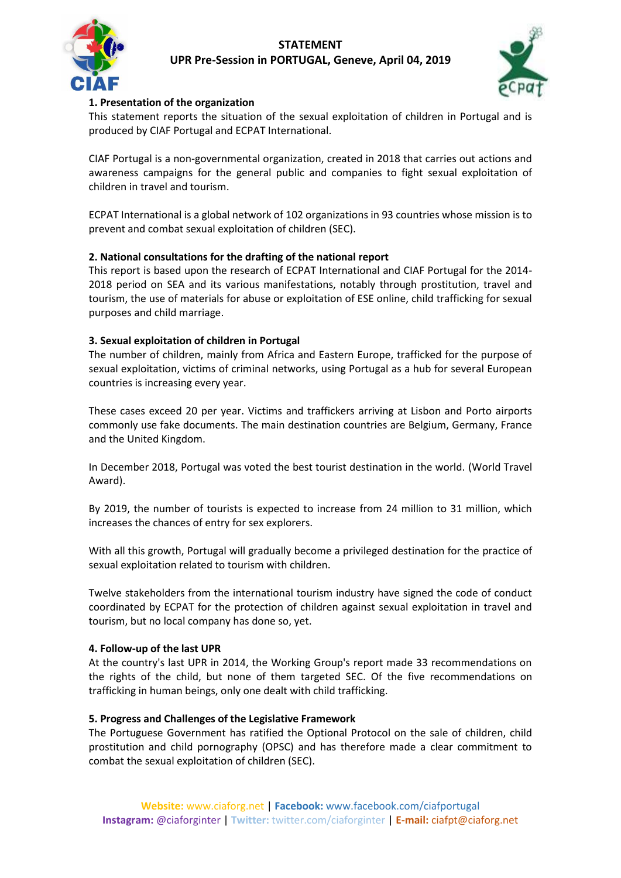



## **1. Presentation of the organization**

This statement reports the situation of the sexual exploitation of children in Portugal and is produced by CIAF Portugal and ECPAT International.

CIAF Portugal is a non-governmental organization, created in 2018 that carries out actions and awareness campaigns for the general public and companies to fight sexual exploitation of children in travel and tourism.

ECPAT International is a global network of 102 organizations in 93 countries whose mission is to prevent and combat sexual exploitation of children (SEC).

## **2. National consultations for the drafting of the national report**

This report is based upon the research of ECPAT International and CIAF Portugal for the 2014- 2018 period on SEA and its various manifestations, notably through prostitution, travel and tourism, the use of materials for abuse or exploitation of ESE online, child trafficking for sexual purposes and child marriage.

### **3. Sexual exploitation of children in Portugal**

The number of children, mainly from Africa and Eastern Europe, trafficked for the purpose of sexual exploitation, victims of criminal networks, using Portugal as a hub for several European countries is increasing every year.

These cases exceed 20 per year. Victims and traffickers arriving at Lisbon and Porto airports commonly use fake documents. The main destination countries are Belgium, Germany, France and the United Kingdom.

In December 2018, Portugal was voted the best tourist destination in the world. (World Travel Award).

By 2019, the number of tourists is expected to increase from 24 million to 31 million, which increases the chances of entry for sex explorers.

With all this growth, Portugal will gradually become a privileged destination for the practice of sexual exploitation related to tourism with children.

Twelve stakeholders from the international tourism industry have signed the code of conduct coordinated by ECPAT for the protection of children against sexual exploitation in travel and tourism, but no local company has done so, yet.

#### **4. Follow-up of the last UPR**

At the country's last UPR in 2014, the Working Group's report made 33 recommendations on the rights of the child, but none of them targeted SEC. Of the five recommendations on trafficking in human beings, only one dealt with child trafficking.

#### **5. Progress and Challenges of the Legislative Framework**

The Portuguese Government has ratified the Optional Protocol on the sale of children, child prostitution and child pornography (OPSC) and has therefore made a clear commitment to combat the sexual exploitation of children (SEC).